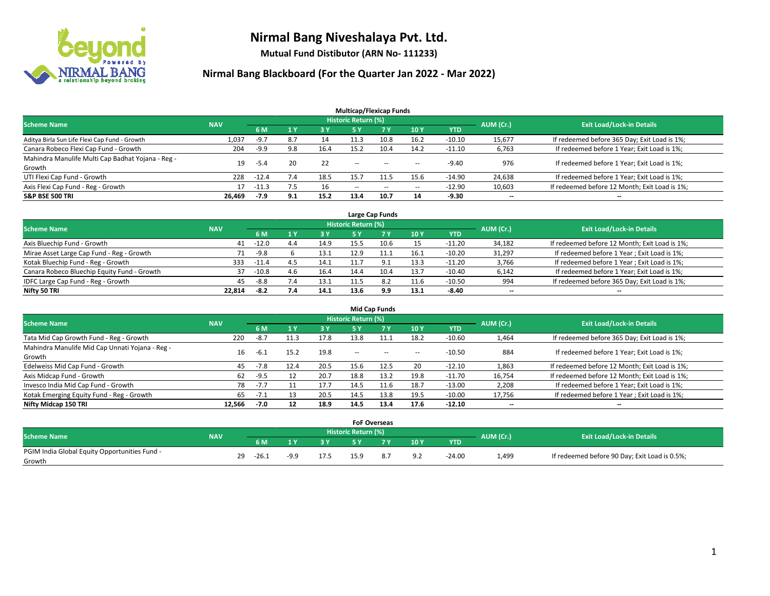

**Mutual Fund Distibutor (ARN No- 111233)**

| <b>Multicap/Flexicap Funds</b>                    |            |         |     |      |                          |           |                          |            |                          |                                               |  |  |  |
|---------------------------------------------------|------------|---------|-----|------|--------------------------|-----------|--------------------------|------------|--------------------------|-----------------------------------------------|--|--|--|
| <b>Scheme Name</b>                                | <b>NAV</b> |         |     |      | Historic Return (%)      |           |                          |            | AUM (Cr.)                | <b>Exit Load/Lock-in Details</b>              |  |  |  |
|                                                   |            | 6 M     |     | 3 Y  | 5 Y                      | <b>7Y</b> | <b>10Y</b>               | <b>YTD</b> |                          |                                               |  |  |  |
| Aditya Birla Sun Life Flexi Cap Fund - Growth     | 1,037      | -9.7    | 8.7 | 14   | 11.3                     | 10.8      | 16.2                     | $-10.10$   | 15,677                   | If redeemed before 365 Day; Exit Load is 1%;  |  |  |  |
| Canara Robeco Flexi Cap Fund - Growth             | 204        | $-9.9$  | 9.8 | 16.4 | 15.2                     | 10.4      | 14.2                     | $-11.10$   | 6,763                    | If redeemed before 1 Year; Exit Load is 1%;   |  |  |  |
| Mahindra Manulife Multi Cap Badhat Yojana - Reg - | 19         | -5.4    | 20  | 22   | --                       | $-$       | --                       | $-9.40$    | 976                      | If redeemed before 1 Year; Exit Load is 1%;   |  |  |  |
| Growth                                            |            |         |     |      |                          |           |                          |            |                          |                                               |  |  |  |
| UTI Flexi Cap Fund - Growth                       | 228        | $-12.4$ | 1.4 | 18.5 | 15.7                     |           | 15.6                     | $-14.90$   | 24,638                   | If redeemed before 1 Year; Exit Load is 1%;   |  |  |  |
| Axis Flexi Cap Fund - Reg - Growth                | 17         | $-11.5$ |     | 16   | $\overline{\phantom{m}}$ | $\sim$    | $\overline{\phantom{a}}$ | $-12.90$   | 10,603                   | If redeemed before 12 Month; Exit Load is 1%; |  |  |  |
| <b>S&amp;P BSE 500 TRI</b>                        | 26.469     | -7.9    | 9.1 | 15.2 | 13.4                     | 10.7      | 14                       | $-9.30$    | $\overline{\phantom{a}}$ | $\overline{\phantom{a}}$                      |  |  |  |

| Large Cap Funds                             |            |         |      |      |                            |       |      |            |           |                                               |  |  |  |
|---------------------------------------------|------------|---------|------|------|----------------------------|-------|------|------------|-----------|-----------------------------------------------|--|--|--|
| <b>Scheme Name</b>                          | <b>NAV</b> |         |      |      | <b>Historic Return (%)</b> |       |      |            | AUM (Cr.) | <b>Exit Load/Lock-in Details</b>              |  |  |  |
|                                             |            | 6 M     |      | 3 Y  |                            |       | 10Y  | <b>YTD</b> |           |                                               |  |  |  |
| Axis Bluechip Fund - Growth                 | 41         | -12.0   | 4.4  | 14.9 | 15.5                       | 10.6  | 15   | $-11.20$   | 34,182    | If redeemed before 12 Month; Exit Load is 1%; |  |  |  |
| Mirae Asset Large Cap Fund - Reg - Growth   | 71         | $-9.8$  |      | 13.1 | 12.9                       | 11.1  | 16.1 | $-10.20$   | 31,297    | If redeemed before 1 Year; Exit Load is 1%;   |  |  |  |
| Kotak Bluechip Fund - Reg - Growth          | 333        | $-11.4$ |      | 14.1 |                            | - Q 1 | 13.3 | $-11.20$   | 3,766     | If redeemed before 1 Year; Exit Load is 1%;   |  |  |  |
| Canara Robeco Bluechip Equity Fund - Growth | 37         | $-10.8$ | -4.6 | 16.4 | 14.4                       | 10.4  | 13.7 | $-10.40$   | 6,142     | If redeemed before 1 Year; Exit Load is 1%;   |  |  |  |
| IDFC Large Cap Fund - Reg - Growth          | 45         | -8.8    |      | 13.1 |                            |       | 11.6 | $-10.50$   | 994       | If redeemed before 365 Day; Exit Load is 1%;  |  |  |  |
| Nifty 50 TRI                                | 22.814     | -8.2    |      | 14.1 | 13.6                       | 9.9   | 13.1 | $-8.40$    | $- -$     | $\overline{\phantom{a}}$                      |  |  |  |

| <b>Mid Cap Funds</b>                                      |            |        |      |      |                     |           |      |            |                          |                                               |  |  |  |
|-----------------------------------------------------------|------------|--------|------|------|---------------------|-----------|------|------------|--------------------------|-----------------------------------------------|--|--|--|
| <b>Scheme Name</b>                                        | <b>NAV</b> |        |      |      | Historic Return (%) |           |      |            | AUM (Cr.)                | <b>Exit Load/Lock-in Details</b>              |  |  |  |
|                                                           |            | 6 M    |      | 3 Y  | 5 Y                 | <b>7Y</b> | 10Y  | <b>YTD</b> |                          |                                               |  |  |  |
| Tata Mid Cap Growth Fund - Reg - Growth                   | 220        | $-8.7$ | 11.3 | 17.8 | 13.8                |           | 18.2 | $-10.60$   | 1,464                    | If redeemed before 365 Day; Exit Load is 1%;  |  |  |  |
| Mahindra Manulife Mid Cap Unnati Yojana - Reg -<br>Growth | 16         | -6.1   | 15.2 | 19.8 | $\sim$              | $\sim$    | $-$  | $-10.50$   | 884                      | If redeemed before 1 Year; Exit Load is 1%;   |  |  |  |
| Edelweiss Mid Cap Fund - Growth                           | 45         | $-7.8$ | 12.4 | 20.5 | 15.6                | 12.5      | 20   | $-12.10$   | 1,863                    | If redeemed before 12 Month; Exit Load is 1%; |  |  |  |
| Axis Midcap Fund - Growth                                 | 62         | $-9.5$ |      | 20.7 | 18.8                | 13.2      | 19.8 | $-11.70$   | 16,754                   | If redeemed before 12 Month; Exit Load is 1%; |  |  |  |
| Invesco India Mid Cap Fund - Growth                       | 78         | $-7.7$ |      | 17.7 | 14.5                | 11.6      | 18.7 | $-13.00$   | 2,208                    | If redeemed before 1 Year; Exit Load is 1%;   |  |  |  |
| Kotak Emerging Equity Fund - Reg - Growth                 | 65         | $-7.1$ | 13   | 20.5 | 14.5                | 13.8      | 19.5 | $-10.00$   | 17,756                   | If redeemed before 1 Year; Exit Load is 1%;   |  |  |  |
| Nifty Midcap 150 TRI                                      | 12.566     | -7.0   | 12   | 18.9 | 14.5                | 13.4      | 17.6 | $-12.10$   | $\overline{\phantom{a}}$ | $-$                                           |  |  |  |

|                                               |            |    |         |      |      | <b>FoF Overseas</b>        |     |     |          |           |                                               |
|-----------------------------------------------|------------|----|---------|------|------|----------------------------|-----|-----|----------|-----------|-----------------------------------------------|
| <b>Scheme Name</b>                            | <b>NAV</b> |    |         |      |      | <b>Historic Return (%)</b> |     |     |          | AUM (Cr.) | <b>Exit Load/Lock-in Details</b>              |
|                                               |            |    | 6 M     | ı v  | 3V   |                            | 7 V | 10Y | YTD      |           |                                               |
| PGIM India Global Equity Opportunities Fund - |            | 29 | $-26.1$ | -9 O | 17.5 | 159                        |     | 9.2 | $-24.00$ | 1,499     | If redeemed before 90 Day; Exit Load is 0.5%; |
| Growth                                        |            |    |         |      |      |                            |     |     |          |           |                                               |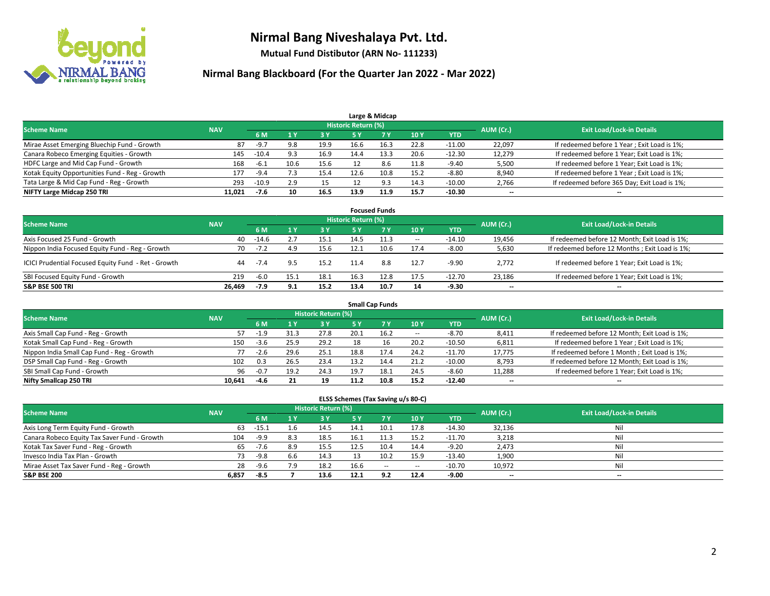

**Mutual Fund Distibutor (ARN No- 111233)**

| Large & Midcap                                 |            |         |     |      |                     |      |      |            |           |                                              |  |  |  |
|------------------------------------------------|------------|---------|-----|------|---------------------|------|------|------------|-----------|----------------------------------------------|--|--|--|
| <b>Scheme Name</b>                             | <b>NAV</b> |         |     |      | Historic Return (%) |      |      |            | AUM (Cr.) | <b>Exit Load/Lock-in Details</b>             |  |  |  |
|                                                |            | 6 M     |     | 3 Y  | 5 Y                 |      | 10Y  | <b>YTD</b> |           |                                              |  |  |  |
| Mirae Asset Emerging Bluechip Fund - Growth    | 87         | -9.7    | 9.8 | 19.9 | 16.6                | 16.3 | 22.8 | $-11.00$   | 22,097    | If redeemed before 1 Year; Exit Load is 1%;  |  |  |  |
| Canara Robeco Emerging Equities - Growth       | 145        | $-10.4$ | 9.3 | 16.9 | 14.4                | 13.3 | 20.6 | $-12.30$   | 12,279    | If redeemed before 1 Year; Exit Load is 1%;  |  |  |  |
| HDFC Large and Mid Cap Fund - Growth           | 168        | -6.1    |     | 15.6 |                     | 8.6  | 11.8 | $-9.40$    | 5,500     | If redeemed before 1 Year; Exit Load is 1%;  |  |  |  |
| Kotak Equity Opportunities Fund - Reg - Growth | 177        | -9.4    |     | 15.4 | 12.6                | 10.8 | 15.2 | $-8.80$    | 8,940     | If redeemed before 1 Year; Exit Load is 1%;  |  |  |  |
| Tata Large & Mid Cap Fund - Reg - Growth       | 293        | $-10.9$ | 2.9 | 15   |                     | Q3   | 14.3 | $-10.00$   | 2,766     | If redeemed before 365 Day; Exit Load is 1%; |  |  |  |
| NIFTY Large Midcap 250 TRI                     | 11.021     | -7.6    | 10  | 16.5 | 13.9                | 11.9 | 15.7 | $-10.30$   | $- -$     | $- -$                                        |  |  |  |

| <b>Focused Funds</b>                                |            |        |     |      |                            |      |        |          |                          |                                                 |  |  |  |
|-----------------------------------------------------|------------|--------|-----|------|----------------------------|------|--------|----------|--------------------------|-------------------------------------------------|--|--|--|
| <b>Scheme Name</b>                                  | <b>NAV</b> |        |     |      | <b>Historic Return (%)</b> |      |        |          | AUM (Cr.)                | <b>Exit Load/Lock-in Details</b>                |  |  |  |
|                                                     |            | 6 M    |     | 3Y   |                            |      | 10Y    | YTD      |                          |                                                 |  |  |  |
| Axis Focused 25 Fund - Growth                       | 40         | -14.6  |     | 15.1 | 14.5                       | 11.3 | $\sim$ | $-14.10$ | 19,456                   | If redeemed before 12 Month; Exit Load is 1%;   |  |  |  |
| Nippon India Focused Equity Fund - Reg - Growth     | 70         | $-7.2$ |     | 15.6 | 12.1                       | 10.6 | 17.4   | $-8.00$  | 5,630                    | If redeemed before 12 Months ; Exit Load is 1%; |  |  |  |
| ICICI Prudential Focused Equity Fund - Ret - Growth | 44         | $-7.4$ |     | 15.2 | 11.4                       | 8.8  | 12.7   | $-9.90$  | 2,772                    | If redeemed before 1 Year; Exit Load is 1%;     |  |  |  |
| SBI Focused Equity Fund - Growth                    | 219        | $-6.0$ |     | 18.1 | 16.3                       | 12.8 | 17.5   | $-12.70$ | 23.186                   | If redeemed before 1 Year; Exit Load is 1%;     |  |  |  |
| <b>S&amp;P BSE 500 TRI</b>                          | 26.469     | -7.9   | 9.1 | 15.2 | 13.4                       | 10.7 | 14     | $-9.30$  | $\overline{\phantom{a}}$ | $-$                                             |  |  |  |

| <b>Small Cap Funds</b>                     |            |        |      |                            |      |      |        |            |           |                                               |  |  |  |
|--------------------------------------------|------------|--------|------|----------------------------|------|------|--------|------------|-----------|-----------------------------------------------|--|--|--|
| <b>Scheme Name</b>                         | <b>NAV</b> |        |      | <b>Historic Return (%)</b> |      |      |        |            | AUM (Cr.) | <b>Exit Load/Lock-in Details</b>              |  |  |  |
|                                            |            | 6 M    |      | 3 Y                        | 5 Y  |      | 10Y    | <b>YTD</b> |           |                                               |  |  |  |
| Axis Small Cap Fund - Reg - Growth         | 57         | -1.9   | 31.3 | 27.8                       | 20.1 | 16.2 | $\sim$ | $-8.70$    | 8,411     | If redeemed before 12 Month; Exit Load is 1%; |  |  |  |
| Kotak Small Cap Fund - Reg - Growth        | 150        | $-3.6$ | 25.9 | 29.2                       | 18   | 16   | 20.2   | $-10.50$   | 6,811     | If redeemed before 1 Year; Exit Load is 1%;   |  |  |  |
| Nippon India Small Cap Fund - Reg - Growth |            | $-2.6$ | 29.6 | 25.1                       | 18.8 | 17.4 | 24.2   | $-11.70$   | 17,775    | If redeemed before 1 Month; Exit Load is 1%;  |  |  |  |
| DSP Small Cap Fund - Reg - Growth          | 102        | 0.3    | 26.5 | 23.4                       | 13.2 | 14.4 | 21.2   | $-10.00$   | 8,793     | If redeemed before 12 Month; Exit Load is 1%; |  |  |  |
| SBI Small Cap Fund - Growth                | 96         | $-0.7$ | 19.2 | 24.3                       | 19.7 |      | 24.5   | $-8.60$    | 11,288    | If redeemed before 1 Year; Exit Load is 1%;   |  |  |  |
| Nifty Smallcap 250 TRI                     | 10.641     | $-4.6$ |      | 19                         | 11.2 | 10.8 | 15.2   | $-12.40$   | $- -$     | $- -$                                         |  |  |  |

| ELSS Schemes (Tax Saving u/s 80-C)           |            |         |     |                            |      |        |        |            |           |                                  |  |  |  |
|----------------------------------------------|------------|---------|-----|----------------------------|------|--------|--------|------------|-----------|----------------------------------|--|--|--|
| <b>Scheme Name</b>                           | <b>NAV</b> |         |     | <b>Historic Return (%)</b> |      |        |        |            | AUM (Cr.) | <b>Exit Load/Lock-in Details</b> |  |  |  |
|                                              |            | 6 M     |     | 3 Y                        | 5 Y  |        | 10Y    | <b>YTD</b> |           |                                  |  |  |  |
| Axis Long Term Equity Fund - Growth          | 63         | $-15.1$ | 1.6 | 14.5                       | 14.1 |        | 17.8   | $-14.30$   | 32,136    | Nil                              |  |  |  |
| Canara Robeco Equity Tax Saver Fund - Growth | 104        | -9.9    | 8.3 | 18.5                       | 16.1 |        | 15.2   | $-11.70$   | 3,218     | Nil                              |  |  |  |
| Kotak Tax Saver Fund - Reg - Growth          | 65         | $-7.6$  | 8.9 | 15.5                       | 12.5 | 10.4   | 14.4   | $-9.20$    | 2,473     | Nil                              |  |  |  |
| Invesco India Tax Plan - Growth              | 73         | -9.8    | 6.6 | 14.3                       |      | 10.2   | 15.9   | $-13.40$   | 1,900     | Nil                              |  |  |  |
| Mirae Asset Tax Saver Fund - Reg - Growth    | 28         | -9.6    | 7.9 | 18.2                       | 16.6 | $\sim$ | $\sim$ | $-10.70$   | 10,972    | Nil                              |  |  |  |
| <b>S&amp;P BSE 200</b>                       | 6,857      | -8.5    |     | 13.6                       | 12.1 | 9.2    | 12.4   | $-9.00$    | $- -$     | $\overline{\phantom{a}}$         |  |  |  |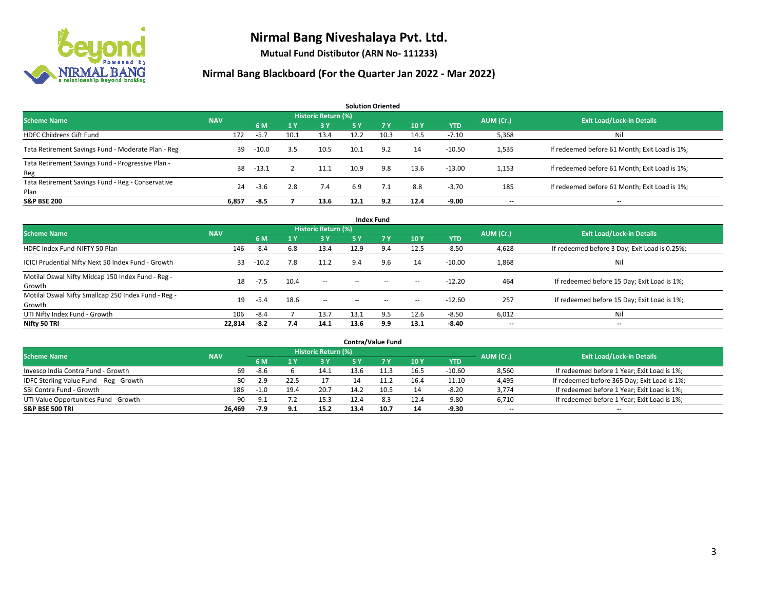

**Mutual Fund Distibutor (ARN No- 111233)**

| <b>Solution Oriented</b>                                  |            |         |      |                     |            |      |      |            |           |                                               |  |  |  |
|-----------------------------------------------------------|------------|---------|------|---------------------|------------|------|------|------------|-----------|-----------------------------------------------|--|--|--|
| <b>Scheme Name</b>                                        | <b>NAV</b> |         |      | Historic Return (%) |            |      |      |            | AUM (Cr.) | <b>Exit Load/Lock-in Details</b>              |  |  |  |
|                                                           |            | 6 M     | 1Y   | 3 Y                 | <b>5 Y</b> | 7 Y  | 10Y  | <b>YTD</b> |           |                                               |  |  |  |
| <b>HDFC Childrens Gift Fund</b>                           | 172        | $-5.7$  | 10.1 | 13.4                | 12.2       | 10.3 | 14.5 | $-7.10$    | 5,368     | Nil                                           |  |  |  |
| Tata Retirement Savings Fund - Moderate Plan - Reg        | 39         | $-10.0$ | 3.5  | 10.5                | 10.1       | 9.2  | 14   | $-10.50$   | 1,535     | If redeemed before 61 Month; Exit Load is 1%; |  |  |  |
| Tata Retirement Savings Fund - Progressive Plan -<br>Reg  | 38         | $-13.1$ |      | 11.1                | 10.9       | 9.8  | 13.6 | $-13.00$   | 1,153     | If redeemed before 61 Month; Exit Load is 1%; |  |  |  |
| Tata Retirement Savings Fund - Reg - Conservative<br>Plan | 24         | $-3.6$  | 2.8  | 7.4                 | 6.9        | 7.1  | 8.8  | $-3.70$    | 185       | If redeemed before 61 Month; Exit Load is 1%; |  |  |  |
| <b>S&amp;P BSE 200</b>                                    | 6,857      | $-8.5$  |      | 13.6                | 12.1       | 9.2  | 12.4 | $-9.00$    |           | --                                            |  |  |  |

| <b>Index Fund</b>                                             |            |         |                |                     |           |                                                |                          |            |           |                                               |  |  |  |
|---------------------------------------------------------------|------------|---------|----------------|---------------------|-----------|------------------------------------------------|--------------------------|------------|-----------|-----------------------------------------------|--|--|--|
| <b>Scheme Name</b>                                            | <b>NAV</b> |         |                | Historic Return (%) |           |                                                |                          |            | AUM (Cr.) | <b>Exit Load/Lock-in Details</b>              |  |  |  |
|                                                               |            | 6 M     | 1 <sub>Y</sub> | <b>3Y</b>           | <b>5Y</b> | <b>7Y</b>                                      | <b>10Y</b>               | <b>YTD</b> |           |                                               |  |  |  |
| HDFC Index Fund-NIFTY 50 Plan                                 | 146        | $-8.4$  | 6.8            | 13.4                | 12.9      | 9.4                                            | 12.5                     | $-8.50$    | 4,628     | If redeemed before 3 Day; Exit Load is 0.25%; |  |  |  |
| ICICI Prudential Nifty Next 50 Index Fund - Growth            | 33         | $-10.2$ | 7.8            | 11.2                | 9.4       | 9.6                                            | 14                       | $-10.00$   | 1,868     | Nil                                           |  |  |  |
| Motilal Oswal Nifty Midcap 150 Index Fund - Reg -<br>Growth   | 18         | $-7.5$  | 10.4           | $\sim$              | $\sim$    | $\sim$                                         | $\overline{\phantom{a}}$ | $-12.20$   | 464       | If redeemed before 15 Day; Exit Load is 1%;   |  |  |  |
| Motilal Oswal Nifty Smallcap 250 Index Fund - Reg -<br>Growth | 19         | $-5.4$  | 18.6           | $\sim$              | $\sim$    | $\hspace{0.1mm}-\hspace{0.1mm}-\hspace{0.1mm}$ | $\overline{\phantom{a}}$ | $-12.60$   | 257       | If redeemed before 15 Day; Exit Load is 1%;   |  |  |  |
| UTI Nifty Index Fund - Growth                                 | 106        | $-8.4$  |                | 13.7                | 13.7      | 9.5                                            | 12.6                     | $-8.50$    | 6,012     | Nil                                           |  |  |  |
| Nifty 50 TRI                                                  | 22,814     | -8.2    | 7.4            | 14.1                | 13.6      | 9.9                                            | 13.1                     | $-8.40$    | $- -$     | $\overline{\phantom{a}}$                      |  |  |  |

|                                         |            |        |      |                            |      | <b>Contra/Value Fund</b> |      |          |           |                                              |
|-----------------------------------------|------------|--------|------|----------------------------|------|--------------------------|------|----------|-----------|----------------------------------------------|
| <b>Scheme Name</b>                      | <b>NAV</b> |        |      | <b>Historic Return (%)</b> |      |                          |      |          | AUM (Cr.) | <b>Exit Load/Lock-in Details</b>             |
|                                         |            | 6 M    |      | 73 Y                       |      | 7 Y                      | 10Y  | YTD      |           |                                              |
| Invesco India Contra Fund - Growth      | 69         | -8.6   |      | 14.1                       | 13.6 | 1.3                      | 16.5 | $-10.60$ | 8,560     | If redeemed before 1 Year; Exit Load is 1%;  |
| IDFC Sterling Value Fund - Reg - Growth | 80         | $-2.9$ | 22.5 |                            | 14   |                          | 16.4 | $-11.10$ | 4,495     | If redeemed before 365 Day; Exit Load is 1%; |
| SBI Contra Fund - Growth                | 186        | $-1.0$ | 19.4 | 20.7                       | 14.2 | 10.5                     | 14   | $-8.20$  | 3,774     | If redeemed before 1 Year; Exit Load is 1%;  |
| UTI Value Opportunities Fund - Growth   | 90         | $-9.1$ |      | 15.3                       | 12.4 | 8.3                      | 12.4 | $-9.80$  | 6,710     | If redeemed before 1 Year; Exit Load is 1%;  |
| <b>S&amp;P BSE 500 TRI</b>              | 26,469     | -7.9   | 9.1  | 15.2                       | 13.4 | 10.7                     | 14   | $-9.30$  | $-$       | $- -$                                        |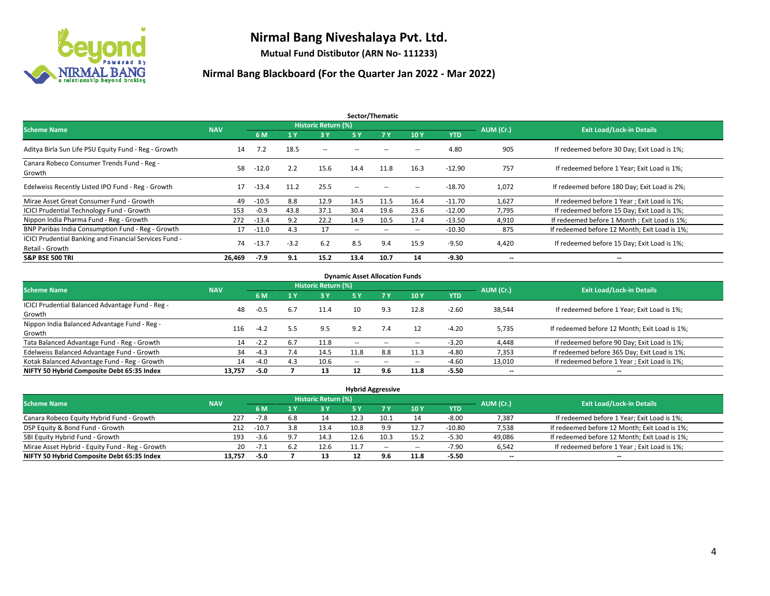

**Mutual Fund Distibutor (ARN No- 111233)**

| Sector/Thematic                                                           |            |         |        |                     |                          |                   |                          |            |                          |                                               |  |  |  |
|---------------------------------------------------------------------------|------------|---------|--------|---------------------|--------------------------|-------------------|--------------------------|------------|--------------------------|-----------------------------------------------|--|--|--|
| <b>Scheme Name</b>                                                        | <b>NAV</b> |         |        | Historic Return (%) |                          |                   |                          |            | AUM (Cr.)                | <b>Exit Load/Lock-in Details</b>              |  |  |  |
|                                                                           |            | 6 M     | '1 Y   | 3 Y                 | 5 Y                      | 7Y                | 10Y                      | <b>YTD</b> |                          |                                               |  |  |  |
| Aditya Birla Sun Life PSU Equity Fund - Reg - Growth                      | 14         | 7.2     | 18.5   | $\sim$ $-$          | $\sim$ $\sim$            | $\sim$            | $\overline{\phantom{a}}$ | 4.80       | 905                      | If redeemed before 30 Day; Exit Load is 1%;   |  |  |  |
| Canara Robeco Consumer Trends Fund - Reg -<br>Growth                      | 58         | $-12.0$ | 2.2    | 15.6                | 14.4                     | 11.8              | 16.3                     | $-12.90$   | 757                      | If redeemed before 1 Year; Exit Load is 1%;   |  |  |  |
| Edelweiss Recently Listed IPO Fund - Reg - Growth                         | 17         | $-13.4$ | 11.2   | 25.5                | $\overline{\phantom{a}}$ | $\hspace{0.05cm}$ | --                       | $-18.70$   | 1,072                    | If redeemed before 180 Day; Exit Load is 2%;  |  |  |  |
| Mirae Asset Great Consumer Fund - Growth                                  | 49         | $-10.5$ | 8.8    | 12.9                | 14.5                     | 11.5              | 16.4                     | $-11.70$   | 1,627                    | If redeemed before 1 Year; Exit Load is 1%;   |  |  |  |
| <b>ICICI Prudential Technology Fund - Growth</b>                          | 153        | $-0.9$  | 43.8   | 37.1                | 30.4                     | 19.6              | 23.6                     | $-12.00$   | 7,795                    | If redeemed before 15 Day; Exit Load is 1%;   |  |  |  |
| Nippon India Pharma Fund - Reg - Growth                                   | 272        | $-13.4$ | 9.2    | 22.2                | 14.9                     | 10.5              | 17.4                     | $-13.50$   | 4,910                    | If redeemed before 1 Month; Exit Load is 1%;  |  |  |  |
| BNP Paribas India Consumption Fund - Reg - Growth                         | 17         | $-11.0$ | 4.3    | 17                  | $\overline{\phantom{a}}$ | $\sim$            | $\hspace{0.05cm} \ldots$ | $-10.30$   | 875                      | If redeemed before 12 Month; Exit Load is 1%; |  |  |  |
| ICICI Prudential Banking and Financial Services Fund -<br>Retail - Growth | 74         | $-13.7$ | $-3.2$ | 6.2                 | 8.5                      | 9.4               | 15.9                     | $-9.50$    | 4,420                    | If redeemed before 15 Day; Exit Load is 1%;   |  |  |  |
| <b>S&amp;P BSE 500 TRI</b>                                                | 26.469     | $-7.9$  | 9.1    | 15.2                | 13.4                     | 10.7              | 14                       | $-9.30$    | $\overline{\phantom{a}}$ | $\overline{\phantom{a}}$                      |  |  |  |

| <b>Dynamic Asset Allocation Funds</b>            |            |        |     |                     |        |                          |                          |         |                          |                                               |  |  |  |
|--------------------------------------------------|------------|--------|-----|---------------------|--------|--------------------------|--------------------------|---------|--------------------------|-----------------------------------------------|--|--|--|
| <b>Scheme Name</b>                               | <b>NAV</b> |        |     | Historic Return (%) |        |                          |                          |         | AUM (Cr.)                | <b>Exit Load/Lock-in Details</b>              |  |  |  |
|                                                  |            | 6 M    | 4 Y | 3 Y                 | 5 Y    | 7Y                       | 10Y                      | YTD     |                          |                                               |  |  |  |
| ICICI Prudential Balanced Advantage Fund - Reg - |            |        |     | 11.4                |        |                          |                          |         |                          |                                               |  |  |  |
| Growth                                           | 48         | $-0.5$ | 6.7 |                     | 10     | 9.3                      | 12.8                     | $-2.60$ | 38,544                   | If redeemed before 1 Year; Exit Load is 1%;   |  |  |  |
| Nippon India Balanced Advantage Fund - Reg -     | 116        | $-4.2$ | 5.5 |                     | 9.2    | 7.4                      | 12                       |         |                          |                                               |  |  |  |
| Growth                                           |            |        |     | 9.5                 |        |                          |                          | $-4.20$ | 5,735                    | If redeemed before 12 Month; Exit Load is 1%; |  |  |  |
| Tata Balanced Advantage Fund - Reg - Growth      | 14         | $-2.2$ | 6.7 | 11.8                | $\sim$ | $\overline{\phantom{a}}$ | $\hspace{0.05cm} \ldots$ | $-3.20$ | 4.448                    | If redeemed before 90 Day; Exit Load is 1%;   |  |  |  |
| Edelweiss Balanced Advantage Fund - Growth       | 34         | $-4.3$ | 7.4 | 14.5                | 11.8   | 8.8                      | 11.3                     | $-4.80$ | 7,353                    | If redeemed before 365 Day; Exit Load is 1%;  |  |  |  |
| Kotak Balanced Advantage Fund - Reg - Growth     | 14         | $-4.0$ | 4.3 | 10.6                | $-$    | $\sim$                   | $\!-$                    | $-4.60$ | 13,010                   | If redeemed before 1 Year; Exit Load is 1%;   |  |  |  |
| NIFTY 50 Hybrid Composite Debt 65:35 Index       | 13.757     | $-5.0$ |     | 13                  | 12     | 9.6                      | 11.8                     | $-5.50$ | $\overline{\phantom{a}}$ | $\overline{\phantom{a}}$                      |  |  |  |

| <b>Hybrid Aggressive</b>                        |            |         |     |                            |            |       |       |          |                          |                                               |  |  |  |  |
|-------------------------------------------------|------------|---------|-----|----------------------------|------------|-------|-------|----------|--------------------------|-----------------------------------------------|--|--|--|--|
| <b>Scheme Name</b>                              | <b>NAV</b> |         |     | <b>Historic Return (%)</b> |            |       |       |          | AUM (Cr.)                | <b>Exit Load/Lock-in Details</b>              |  |  |  |  |
|                                                 |            | 6 M     |     | 3V                         | <b>5 Y</b> |       | 10Y   | YTD      |                          |                                               |  |  |  |  |
| Canara Robeco Equity Hybrid Fund - Growth       | 227        | -7.8    | 6.8 | 14                         | 12.3       | 10.1  | 14    | $-8.00$  | 7,387                    | If redeemed before 1 Year; Exit Load is 1%;   |  |  |  |  |
| DSP Equity & Bond Fund - Growth                 | 212        | $-10.7$ | 3.8 | 13.4                       | 10.8       | 9.9   | 12.7  | $-10.80$ | 7,538                    | If redeemed before 12 Month; Exit Load is 1%; |  |  |  |  |
| SBI Equity Hybrid Fund - Growth                 | 193        | $-3.6$  |     | 14.3                       | 12.6       | 10.3  | 15.2  | $-5.30$  | 49,086                   | If redeemed before 12 Month; Exit Load is 1%; |  |  |  |  |
| Mirae Asset Hybrid - Equity Fund - Reg - Growth | 20         | $-7.1$  |     | 12.6                       | 11.7       | $- -$ | $\!-$ | $-7.90$  | 6,542                    | If redeemed before 1 Year; Exit Load is 1%;   |  |  |  |  |
| NIFTY 50 Hybrid Composite Debt 65:35 Index      | 13.757     | $-5.0$  |     |                            |            | 9.6   | 11.8  | $-5.50$  | $\overline{\phantom{a}}$ | $\overline{\phantom{a}}$                      |  |  |  |  |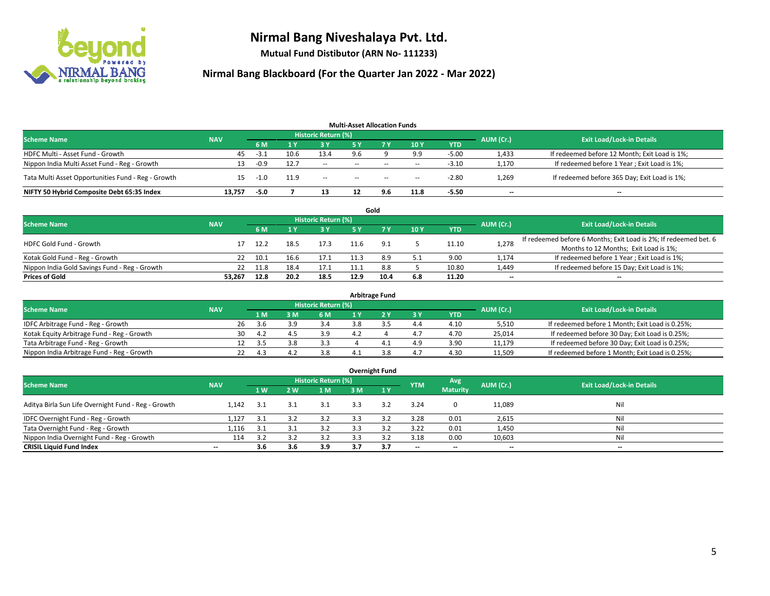

**Mutual Fund Distibutor (ARN No- 111233)**

| <b>Multi-Asset Allocation Funds</b>                |            |        |      |                     |        |            |        |            |           |                                               |  |  |  |
|----------------------------------------------------|------------|--------|------|---------------------|--------|------------|--------|------------|-----------|-----------------------------------------------|--|--|--|
| <b>Scheme Name</b>                                 | <b>NAV</b> |        |      | Historic Return (%) |        |            |        |            | AUM (Cr.) | <b>Exit Load/Lock-in Details</b>              |  |  |  |
|                                                    |            | 6 M    |      | 3 Y                 | 5 Y    | <b>7 Y</b> | 10Y    | <b>YTD</b> |           |                                               |  |  |  |
| HDFC Multi - Asset Fund - Growth                   | 45         | $-3.1$ | 10.6 | 13.4                | 9.6    |            | 9.9    | $-5.00$    | 1,433     | If redeemed before 12 Month; Exit Load is 1%; |  |  |  |
| Nippon India Multi Asset Fund - Reg - Growth       | 13         | $-0.9$ | 12.7 | $\sim$              | $-$    | $\sim$     | $\sim$ | $-3.10$    | 1,170     | If redeemed before 1 Year; Exit Load is 1%;   |  |  |  |
| Tata Multi Asset Opportunities Fund - Reg - Growth | 15         | -1.0   | 11.9 | $\sim$              | $\sim$ | $\sim$     | $\sim$ | $-2.80$    | 1,269     | If redeemed before 365 Day; Exit Load is 1%;  |  |  |  |
| NIFTY 50 Hybrid Composite Debt 65:35 Index         | 13.757     | $-5.0$ |      | 13                  |        | 9.6        | 11.8   | $-5.50$    | --        | $- -$                                         |  |  |  |

|                                               |            |      |      |                     |      | Gold |     |            |                          |                                                                  |
|-----------------------------------------------|------------|------|------|---------------------|------|------|-----|------------|--------------------------|------------------------------------------------------------------|
| <b>Scheme Name</b>                            | <b>NAV</b> |      |      | Historic Return (%) |      |      |     |            | AUM (Cr.)                | <b>Exit Load/Lock-in Details</b>                                 |
|                                               |            | 6 M  |      | 3 Y                 | 5 Y  |      | 10Y | <b>YTD</b> |                          |                                                                  |
| HDFC Gold Fund - Growth                       |            | 12.2 | 18.5 | 17.3                |      | 9.1  |     | 11.10      | 1,278                    | If redeemed before 6 Months; Exit Load is 2%; If redeemed bet. 6 |
|                                               |            |      |      |                     |      |      |     |            |                          | Months to 12 Months; Exit Load is 1%;                            |
| Kotak Gold Fund - Reg - Growth                |            | 10.1 | 16.6 | 17.1                |      |      |     | 9.00       | 1,174                    | If redeemed before 1 Year; Exit Load is 1%;                      |
| Nippon India Gold Savings Fund - Reg - Growth | 22         | 11.8 | 18.4 | 17.1                |      | 8.8  |     | 10.80      | 1,449                    | If redeemed before 15 Day; Exit Load is 1%;                      |
| <b>Prices of Gold</b>                         | 53.267     | 12.8 | 20.2 | 18.5                | 12.9 | 10.4 | 6.8 | 11.20      | $\overline{\phantom{a}}$ | --                                                               |

| <b>Arbitrage Fund</b>                      |            |                                  |      |     |     |     |   |     |            |        |                                                 |  |  |  |
|--------------------------------------------|------------|----------------------------------|------|-----|-----|-----|---|-----|------------|--------|-------------------------------------------------|--|--|--|
| <b>Scheme Name</b>                         | AUM (Cr.)  | <b>Exit Load/Lock-in Details</b> |      |     |     |     |   |     |            |        |                                                 |  |  |  |
|                                            | <b>NAV</b> |                                  | 1 M  | : M | 6 M |     |   | 3Y  | <b>YTD</b> |        |                                                 |  |  |  |
| IDFC Arbitrage Fund - Reg - Growth         |            | 26                               | .3.b |     | 3.4 |     |   | 4.4 | 4.10       | 5,510  | If redeemed before 1 Month; Exit Load is 0.25%; |  |  |  |
| Kotak Equity Arbitrage Fund - Reg - Growth |            | 30                               | 4.2  |     | 3.9 | 4.2 |   | 4.7 | 4.70       | 25.014 | If redeemed before 30 Day; Exit Load is 0.25%;  |  |  |  |
| Tata Arbitrage Fund - Reg - Growth         |            |                                  | -3.5 |     | 3.3 |     | 4 | 4.9 | 3.90       | 11.179 | If redeemed before 30 Day; Exit Load is 0.25%;  |  |  |  |
| Nippon India Arbitrage Fund - Reg - Growth |            |                                  | 4.3  |     | 3.8 |     |   | 4.7 | 4.30       | 11,509 | If redeemed before 1 Month; Exit Load is 0.25%; |  |  |  |

| <b>Overnight Fund</b>                               |                          |     |     |                            |     |     |                          |                 |                          |                                  |  |  |  |  |
|-----------------------------------------------------|--------------------------|-----|-----|----------------------------|-----|-----|--------------------------|-----------------|--------------------------|----------------------------------|--|--|--|--|
| <b>Scheme Name</b>                                  | <b>NAV</b>               |     |     | <b>Historic Return (%)</b> |     |     | <b>YTM</b>               | Avg             | AUM (Cr.)                | <b>Exit Load/Lock-in Details</b> |  |  |  |  |
|                                                     |                          | 1W  | 2 W | 1 M                        | 3 M | 1Y  |                          | <b>Maturity</b> |                          |                                  |  |  |  |  |
| Aditya Birla Sun Life Overnight Fund - Reg - Growth | 1.142                    | 3.1 | 3.1 | 3.1                        | 3.3 | 3.2 | 3.24                     | $\mathbf{0}$    | 11,089                   | Nil                              |  |  |  |  |
| IDFC Overnight Fund - Reg - Growth                  | 1,127                    | 3.1 | 3.2 | 3.2                        | 3.3 | 3.2 | 3.28                     | 0.01            | 2,615                    | Nil                              |  |  |  |  |
| Tata Overnight Fund - Reg - Growth                  | 1,116                    | 3.1 |     | 3.2                        | 3.3 |     | 3.22                     | 0.01            | 1,450                    | Nil                              |  |  |  |  |
| Nippon India Overnight Fund - Reg - Growth          | 114                      | 3.2 |     | 3.2                        |     |     | 3.18                     | 0.00            | 10,603                   | Nil                              |  |  |  |  |
| <b>CRISIL Liquid Fund Index</b>                     | $\overline{\phantom{a}}$ | 3.6 | 3.6 | 3.9                        | 3.7 | 3.7 | $\overline{\phantom{a}}$ | $- -$           | $\overline{\phantom{a}}$ | $-$                              |  |  |  |  |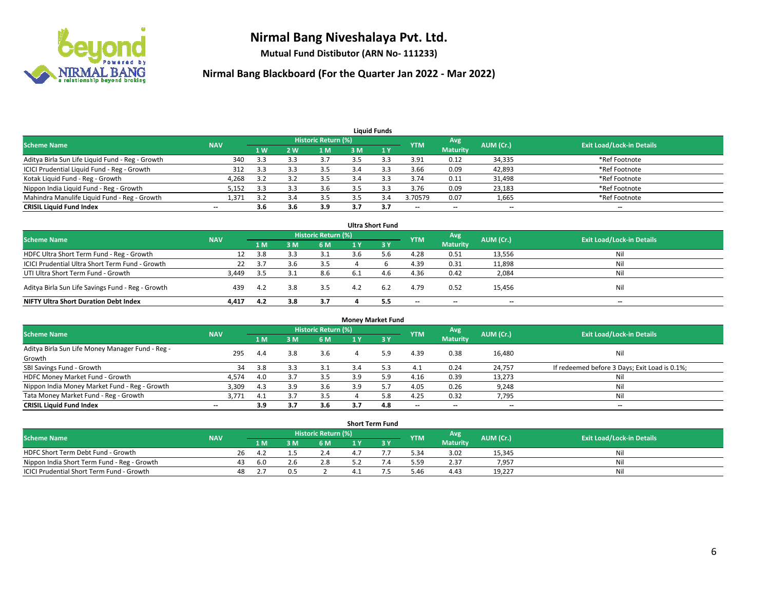

**Mutual Fund Distibutor (ARN No- 111233)**

| <b>Liauid Funds</b>                              |                          |     |     |                     |     |     |            |                          |           |                                  |  |  |  |
|--------------------------------------------------|--------------------------|-----|-----|---------------------|-----|-----|------------|--------------------------|-----------|----------------------------------|--|--|--|
| <b>Scheme Name</b>                               | <b>NAV</b>               |     |     | Historic Return (%) |     |     | <b>YTM</b> | Avg                      | AUM (Cr.) | <b>Exit Load/Lock-in Details</b> |  |  |  |
|                                                  |                          | 1W  | 2 W | 1 M                 | 3 M |     |            | <b>Maturity</b>          |           |                                  |  |  |  |
| Aditya Birla Sun Life Liquid Fund - Reg - Growth | 340                      | 3.3 |     |                     |     |     | 3.91       | 0.12                     | 34,335    | *Ref Footnote                    |  |  |  |
| ICICI Prudential Liquid Fund - Reg - Growth      | 312                      | 3.3 |     | 3.5                 | 3.4 |     | 3.66       | 0.09                     | 42,893    | *Ref Footnote                    |  |  |  |
| Kotak Liquid Fund - Reg - Growth                 | 4,268                    | 3.2 |     | 3.5                 |     |     | 3.74       | 0.11                     | 31,498    | *Ref Footnote                    |  |  |  |
| Nippon India Liquid Fund - Reg - Growth          | 5,152                    | 3.3 |     | 3.6                 |     |     | 3.76       | 0.09                     | 23,183    | *Ref Footnote                    |  |  |  |
| Mahindra Manulife Liquid Fund - Reg - Growth     | 1,371                    | 3.2 | 3.4 | 3.5                 |     |     | 3.70579    | 0.07                     | 1,665     | *Ref Footnote                    |  |  |  |
| <b>CRISIL Liquid Fund Index</b>                  | $\overline{\phantom{m}}$ | 3.6 | 3.6 | 3.9                 |     | 3.7 | $- -$      | $\overline{\phantom{a}}$ | $- -$     | $\overline{\phantom{a}}$         |  |  |  |

|                                                   |            |      |     |                            |      | <b>Ultra Short Fund</b> |            |                 |           |                                  |
|---------------------------------------------------|------------|------|-----|----------------------------|------|-------------------------|------------|-----------------|-----------|----------------------------------|
| <b>Scheme Name</b>                                | <b>NAV</b> |      |     | <b>Historic Return (%)</b> |      |                         | <b>YTM</b> | Avg             | AUM (Cr.) | <b>Exit Load/Lock-in Details</b> |
|                                                   |            | 1 M  | з м | 6 M                        | 1 Y  | 3 Y                     |            | <b>Maturity</b> |           |                                  |
| HDFC Ultra Short Term Fund - Reg - Growth         | 12         | 3.8  |     | 3.1                        | 3.6  | 5.6                     | 4.28       | 0.51            | 13,556    | Nil                              |
| ICICI Prudential Ultra Short Term Fund - Growth   | 22         | 3.7  |     | 3.5                        |      |                         | 4.39       | 0.31            | 11,898    | Nil                              |
| UTI Ultra Short Term Fund - Growth                | 3,449      | -3.5 |     | 8.6                        | -6.1 | 4.6                     | 4.36       | 0.42            | 2,084     | Nil                              |
| Aditya Birla Sun Life Savings Fund - Reg - Growth | 439        | 4.2  | 3.8 | 3.5                        | 4.2  | 6.2                     | 4.79       | 0.52            | 15,456    | Nil                              |
| <b>NIFTY Ultra Short Duration Debt Index</b>      | 4,417      | 4.2  | 3.8 | 3.7                        |      | 5.5                     | $-$        | $- -$           | $- -$     | $-$                              |

| <b>Money Market Fund</b>                         |            |       |     |                     |     |     |                          |                          |           |                                               |  |  |  |
|--------------------------------------------------|------------|-------|-----|---------------------|-----|-----|--------------------------|--------------------------|-----------|-----------------------------------------------|--|--|--|
| <b>Scheme Name</b>                               | <b>NAV</b> |       |     | Historic Return (%) |     |     | <b>YTM</b>               | Avg                      | AUM (Cr.) | <b>Exit Load/Lock-in Details</b>              |  |  |  |
|                                                  |            | 1 M   | 3 M | 6 M                 |     | 3Y  |                          | <b>Maturity</b>          |           |                                               |  |  |  |
| Aditya Birla Sun Life Money Manager Fund - Reg - | 295        | 4.4   | 3.8 | 3.6                 | 4   | 5.9 | 4.39                     | 0.38                     | 16,480    | Nil                                           |  |  |  |
| Growth                                           |            |       |     |                     |     |     |                          |                          |           |                                               |  |  |  |
| SBI Savings Fund - Growth                        | 34         | 3.8   |     | 3.1                 | 3.4 |     | 4.1                      | 0.24                     | 24,757    | If redeemed before 3 Days; Exit Load is 0.1%; |  |  |  |
| HDFC Money Market Fund - Growth                  | 4,574      | 4.0   |     | 3.5                 | 3.9 | 5.9 | 4.16                     | 0.39                     | 13,273    | Nil                                           |  |  |  |
| Nippon India Money Market Fund - Reg - Growth    | 3,309      | 4.3   | 3.9 | 3.6                 | 3.9 |     | 4.05                     | 0.26                     | 9,248     | Nil                                           |  |  |  |
| Tata Money Market Fund - Reg - Growth            | 3,771      | - 4.1 |     | 3.5                 |     | 5.8 | 4.25                     | 0.32                     | 7,795     | Nil                                           |  |  |  |
| <b>CRISIL Liquid Fund Index</b>                  | $- -$      | 3.9   | 3.7 | 3.6                 | 3.7 | 4.8 | $\overline{\phantom{a}}$ | $\overline{\phantom{a}}$ | $- -$     | $- -$                                         |  |  |  |

| <b>Short Term Fund</b>                      |            |    |       |  |                     |  |  |            |                 |           |                                  |  |  |  |
|---------------------------------------------|------------|----|-------|--|---------------------|--|--|------------|-----------------|-----------|----------------------------------|--|--|--|
| Scheme Name                                 | <b>NAV</b> |    |       |  | Historic Return (%) |  |  | <b>YTM</b> | Avg             | AUM (Cr.) | <b>Exit Load/Lock-in Details</b> |  |  |  |
|                                             |            |    | 1 M I |  | 6 M                 |  |  |            | <b>Maturity</b> |           |                                  |  |  |  |
| HDFC Short Term Debt Fund - Growth          |            | 26 | Д.    |  |                     |  |  | 5.34       | 3.02            | 15,345    | Nil                              |  |  |  |
| Nippon India Short Term Fund - Reg - Growth |            | 43 | -6.0  |  | 2.8                 |  |  | 5.59       | 2.37            | 7.957     | Nil                              |  |  |  |
| ICICI Prudential Short Term Fund - Growth   |            | 48 |       |  |                     |  |  | 5.46       | 4.43            | 19,227    | Nil                              |  |  |  |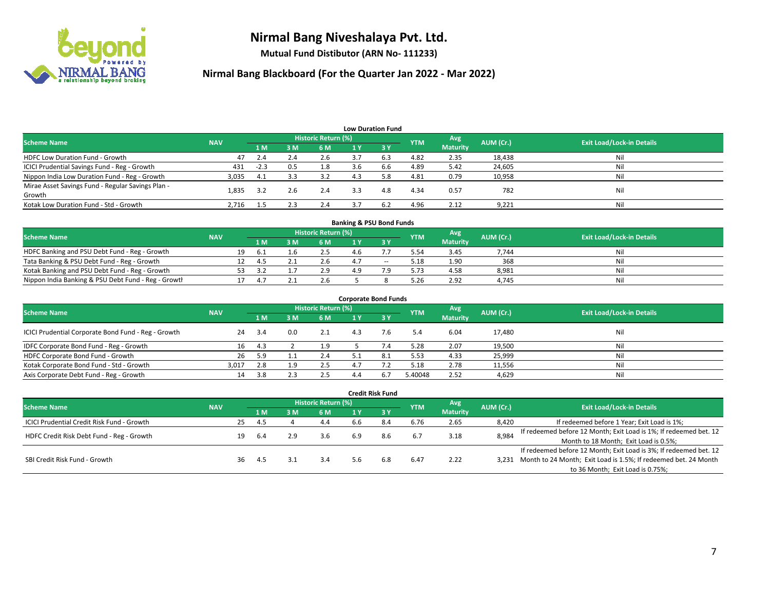

**Mutual Fund Distibutor (ARN No- 111233)**

| <b>Low Duration Fund</b>                          |            |        |     |                     |     |              |            |                 |           |                                  |  |  |  |
|---------------------------------------------------|------------|--------|-----|---------------------|-----|--------------|------------|-----------------|-----------|----------------------------------|--|--|--|
| <b>Scheme Name</b>                                | <b>NAV</b> |        |     | Historic Return (%) |     |              | <b>YTM</b> | Avg             | AUM (Cr.) | <b>Exit Load/Lock-in Details</b> |  |  |  |
|                                                   |            | 1 M    | 3M  | 6 M                 | 1 Y | $\sqrt{3}$ Y |            | <b>Maturity</b> |           |                                  |  |  |  |
| <b>HDFC Low Duration Fund - Growth</b>            | 47         | 2.4    | 2.4 | 2.6                 | 3.7 | 6.3          | 4.82       | 2.35            | 18,438    | Nil                              |  |  |  |
| ICICI Prudential Savings Fund - Reg - Growth      | 431        | $-2.3$ | 0.5 | 1.8                 | 3.6 | 6.6          | 4.89       | 5.42            | 24,605    | Nil                              |  |  |  |
| Nippon India Low Duration Fund - Reg - Growth     | 3,035      | 4.1    | 3.3 | 3.2                 | 4.3 | 5.8          | 4.81       | 0.79            | 10,958    | Nil                              |  |  |  |
| Mirae Asset Savings Fund - Regular Savings Plan - | 1.835      | 3.2    | 2.6 | 2.4                 | 3.3 | 4.8          | 4.34       | 0.57            | 782       | Nil                              |  |  |  |
| Growth                                            |            |        |     |                     |     |              |            |                 |           |                                  |  |  |  |
| Kotak Low Duration Fund - Std - Growth            | 2,716      | 1.5    | 2.3 | 2.4                 |     | 6.7          | 4.96       | 2.12            | 9,221     | Nil                              |  |  |  |

| <b>Banking &amp; PSU Bond Funds</b>                 |            |    |     |  |                     |     |                          |            |                 |           |                                  |  |  |  |
|-----------------------------------------------------|------------|----|-----|--|---------------------|-----|--------------------------|------------|-----------------|-----------|----------------------------------|--|--|--|
| <b>Scheme Name</b>                                  | <b>NAV</b> |    |     |  | Historic Return (%) |     |                          | <b>YTM</b> | Avg             | AUM (Cr.) | <b>Exit Load/Lock-in Details</b> |  |  |  |
|                                                     |            |    | 1 M |  | 6 M                 |     |                          |            | <b>Maturity</b> |           |                                  |  |  |  |
| HDFC Banking and PSU Debt Fund - Reg - Growth       |            | 19 | b.  |  | 2.5                 | 4.6 |                          | 5.54       | 3.45            | 7.744     | Nil                              |  |  |  |
| Tata Banking & PSU Debt Fund - Reg - Growth         |            |    | 4.  |  | 2.6                 |     | $\overline{\phantom{a}}$ | 5.18       | 1.90            | 368       | Nil                              |  |  |  |
| Kotak Banking and PSU Debt Fund - Reg - Growth      |            |    |     |  | 2.9                 | 1 Q |                          | 5.73       | 4.58            | 8,981     | Nil                              |  |  |  |
| Nippon India Banking & PSU Debt Fund - Reg - Growth |            |    |     |  | 2.6                 |     |                          | 5.26       | 2.92            | 4.745     | Nil                              |  |  |  |

| <b>Corporate Bond Funds</b>                         |            |      |     |                            |       |      |            |                        |           |                                  |  |
|-----------------------------------------------------|------------|------|-----|----------------------------|-------|------|------------|------------------------|-----------|----------------------------------|--|
| <b>Scheme Name</b>                                  | <b>NAV</b> |      |     | <b>Historic Return (%)</b> |       |      | <b>YTM</b> | Avg<br><b>Maturity</b> | AUM (Cr.) | <b>Exit Load/Lock-in Details</b> |  |
|                                                     |            | 1 M  | 3 M | 6 M                        | 1 Y   | -3 Y |            |                        |           |                                  |  |
| ICICI Prudential Corporate Bond Fund - Reg - Growth | 24         | -3.4 | 0.0 | 2.1                        | 43    | 7.6  | 5.4        | 6.04                   | 17,480    | Nil                              |  |
| IDFC Corporate Bond Fund - Reg - Growth             | 16         | 4.3  |     | 1.9                        |       |      | 5.28       | 2.07                   | 19,500    | Nil                              |  |
| HDFC Corporate Bond Fund - Growth                   | 26         | 5.9  |     | 2.4                        |       | 8.1  | 5.53       | 4.33                   | 25,999    | Nil                              |  |
| Kotak Corporate Bond Fund - Std - Growth            | 3.017      | 2.8  |     | 2.5                        | $A$ 7 |      | 5.18       | 2.78                   | 11,556    | Nil                              |  |
| Axis Corporate Debt Fund - Reg - Growth             | 14         | 3.8  |     | 2.5                        | 4.4   | 6.7  | 5.40048    | 2.52                   | 4,629     | Nil                              |  |

|                                                   |            |    |      |     |                            |     | <b>Credit Risk Fund</b> |            |                        |           |                                                                       |
|---------------------------------------------------|------------|----|------|-----|----------------------------|-----|-------------------------|------------|------------------------|-----------|-----------------------------------------------------------------------|
| <b>Scheme Name</b>                                | <b>NAV</b> |    |      |     | <b>Historic Return (%)</b> |     |                         | <b>YTM</b> | Avg<br><b>Maturity</b> | AUM (Cr.) | <b>Exit Load/Lock-in Details</b>                                      |
|                                                   |            |    | 1 M  | 3 M | 6 M                        | 1 Y | $\sqrt{3}$ Y            |            |                        |           |                                                                       |
| <b>ICICI Prudential Credit Risk Fund - Growth</b> |            | 25 | 4.5  |     | 4.4                        | b.b | 8.4                     | 6.76       | 2.65                   | 8,420     | If redeemed before 1 Year; Exit Load is 1%;                           |
| HDFC Credit Risk Debt Fund - Reg - Growth         |            | 19 | -6.4 |     | 3.6                        | 6.9 | 8.6                     | 6.7        | 3.18                   | 8,984     | If redeemed before 12 Month; Exit Load is 1%; If redeemed bet. 12     |
|                                                   |            |    |      |     |                            |     |                         |            |                        |           | Month to 18 Month; Exit Load is 0.5%;                                 |
|                                                   |            |    |      |     |                            |     |                         |            |                        |           | If redeemed before 12 Month; Exit Load is 3%; If redeemed bet. 12     |
| SBI Credit Risk Fund - Growth                     |            | 36 | -4.5 |     | 3.4                        | 5.6 | 6.8                     | 6.47       | 2.22                   |           | 3,231 Month to 24 Month; Exit Load is 1.5%; If redeemed bet. 24 Month |
|                                                   |            |    |      |     |                            |     |                         |            |                        |           | to 36 Month; Exit Load is 0.75%;                                      |